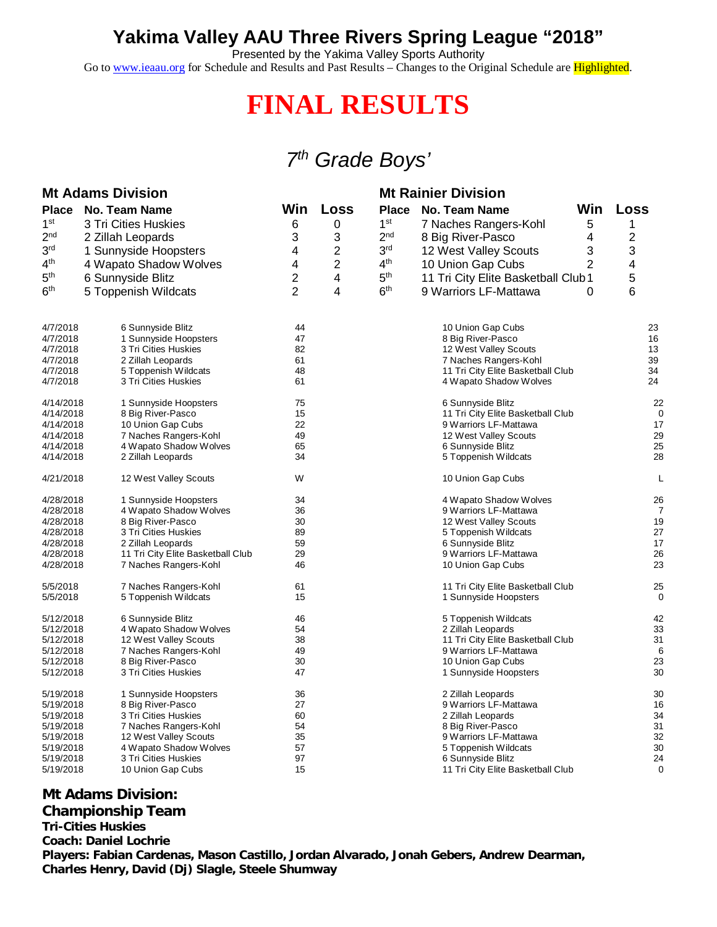### **Yakima Valley AAU Three Rivers Spring League "2018"**

Presented by the Yakima Valley Sports Authority

Go to [www.ieaau.org](http://www.ieaau.org) for Schedule and Results and Past Results – Changes to the Original Schedule are Highlighted.

# **FINAL RESULTS**

## *7 th Grade Boys'*

| <b>Mt Adams Division</b> |                                                            |                |                         | <b>Mt Rainier Division</b> |                                            |     |          |
|--------------------------|------------------------------------------------------------|----------------|-------------------------|----------------------------|--------------------------------------------|-----|----------|
| Place                    | <b>No. Team Name</b>                                       | Win            | Loss                    | <b>Place</b>               | <b>No. Team Name</b>                       | Win | Loss     |
| 1 <sup>st</sup>          | 3 Tri Cities Huskies                                       | 6              | 0                       | 1 <sup>st</sup>            | 7 Naches Rangers-Kohl                      | 5   | 1        |
| 2 <sup>nd</sup>          | 2 Zillah Leopards                                          | 3              | 3                       | 2 <sub>nd</sub>            | 8 Big River-Pasco                          | 4   | 2        |
| 3 <sup>rd</sup>          |                                                            |                | 2                       | 3 <sup>rd</sup>            |                                            | 3   | 3        |
|                          | 1 Sunnyside Hoopsters                                      | 4              |                         |                            | 12 West Valley Scouts                      |     |          |
| 4 <sup>th</sup>          | 4 Wapato Shadow Wolves                                     | 4              | $\overline{\mathbf{c}}$ | 4 <sup>th</sup>            | 10 Union Gap Cubs                          | 2   | 4        |
| 5 <sup>th</sup>          | 6 Sunnyside Blitz                                          | 2              | 4                       | 5 <sup>th</sup>            | 11 Tri City Elite Basketball Club1         |     | 5        |
| 6 <sup>th</sup>          | 5 Toppenish Wildcats                                       | $\overline{2}$ | 4                       | 6 <sup>th</sup>            | 9 Warriors LF-Mattawa                      | 0   | 6        |
| 4/7/2018                 | 6 Sunnyside Blitz                                          | 44             |                         |                            | 10 Union Gap Cubs                          |     | 23       |
| 4/7/2018                 | 1 Sunnyside Hoopsters                                      | 47             |                         |                            | 8 Big River-Pasco                          |     | 16       |
| 4/7/2018                 | 3 Tri Cities Huskies                                       | 82             |                         |                            | 12 West Valley Scouts                      |     | 13       |
| 4/7/2018                 | 2 Zillah Leopards                                          | 61             |                         |                            | 7 Naches Rangers-Kohl                      |     | 39       |
| 4/7/2018                 | 5 Toppenish Wildcats                                       | 48<br>61       |                         |                            | 11 Tri City Elite Basketball Club          |     | 34<br>24 |
| 4/7/2018                 | 3 Tri Cities Huskies                                       |                |                         |                            | 4 Wapato Shadow Wolves                     |     |          |
| 4/14/2018                | 1 Sunnyside Hoopsters                                      | 75             |                         |                            | 6 Sunnyside Blitz                          |     | 22       |
| 4/14/2018                | 8 Big River-Pasco                                          | 15             |                         |                            | 11 Tri City Elite Basketball Club          |     | 0        |
| 4/14/2018                | 10 Union Gap Cubs                                          | 22             |                         |                            | 9 Warriors LF-Mattawa                      |     | 17       |
| 4/14/2018                | 7 Naches Rangers-Kohl                                      | 49             |                         |                            | 12 West Valley Scouts                      |     | 29       |
| 4/14/2018                | 4 Wapato Shadow Wolves                                     | 65             |                         |                            | 6 Sunnyside Blitz                          |     | 25       |
| 4/14/2018                | 2 Zillah Leopards                                          | 34             |                         |                            | 5 Toppenish Wildcats                       |     | 28       |
| 4/21/2018                | 12 West Valley Scouts                                      | W              |                         |                            | 10 Union Gap Cubs                          |     | L        |
| 4/28/2018                | 1 Sunnyside Hoopsters                                      | 34             |                         |                            | 4 Wapato Shadow Wolves                     |     | 26       |
| 4/28/2018                | 4 Wapato Shadow Wolves                                     | 36             |                         |                            | 9 Warriors LF-Mattawa                      |     | 7        |
| 4/28/2018                | 8 Big River-Pasco                                          | 30             |                         |                            | 12 West Valley Scouts                      |     | 19       |
| 4/28/2018                | 3 Tri Cities Huskies                                       | 89             |                         |                            | 5 Toppenish Wildcats                       |     | 27       |
| 4/28/2018<br>4/28/2018   | 2 Zillah Leopards                                          | 59<br>29       |                         |                            | 6 Sunnyside Blitz<br>9 Warriors LF-Mattawa |     | 17<br>26 |
| 4/28/2018                | 11 Tri City Elite Basketball Club<br>7 Naches Rangers-Kohl | 46             |                         |                            | 10 Union Gap Cubs                          |     | 23       |
|                          |                                                            |                |                         |                            |                                            |     |          |
| 5/5/2018                 | 7 Naches Rangers-Kohl                                      | 61             |                         |                            | 11 Tri City Elite Basketball Club          |     | 25       |
| 5/5/2018                 | 5 Toppenish Wildcats                                       | 15             |                         |                            | 1 Sunnyside Hoopsters                      |     | 0        |
| 5/12/2018                | 6 Sunnyside Blitz                                          | 46             |                         |                            | 5 Toppenish Wildcats                       |     | 42       |
| 5/12/2018                | 4 Wapato Shadow Wolves                                     | 54             |                         |                            | 2 Zillah Leopards                          |     | 33       |
| 5/12/2018                | 12 West Valley Scouts                                      | 38             |                         |                            | 11 Tri City Elite Basketball Club          |     | 31       |
| 5/12/2018<br>5/12/2018   | 7 Naches Rangers-Kohl<br>8 Big River-Pasco                 | 49<br>30       |                         |                            | 9 Warriors LF-Mattawa<br>10 Union Gap Cubs |     | 6<br>23  |
| 5/12/2018                | 3 Tri Cities Huskies                                       | 47             |                         |                            | 1 Sunnyside Hoopsters                      |     | 30       |
| 5/19/2018                | 1 Sunnyside Hoopsters                                      | 36             |                         |                            | 2 Zillah Leopards                          |     | 30       |
| 5/19/2018                | 8 Big River-Pasco                                          | 27             |                         |                            | 9 Warriors LF-Mattawa                      |     | 16       |
| 5/19/2018                | 3 Tri Cities Huskies                                       | 60             |                         |                            | 2 Zillah Leopards                          |     | 34       |
| 5/19/2018                | 7 Naches Rangers-Kohl                                      | 54             |                         |                            | 8 Big River-Pasco                          |     | 31       |
| 5/19/2018                | 12 West Valley Scouts                                      | 35             |                         |                            | 9 Warriors LF-Mattawa                      |     | 32       |
| 5/19/2018                | 4 Wapato Shadow Wolves                                     | 57             |                         |                            | 5 Toppenish Wildcats                       |     | 30       |
| 5/19/2018                | 3 Tri Cities Huskies                                       | 97             |                         |                            | 6 Sunnyside Blitz                          |     | 24       |
| 5/19/2018                | 10 Union Gap Cubs                                          | 15             |                         |                            | 11 Tri City Elite Basketball Club          |     | 0        |

#### **Mt Adams Division:**

#### **Championship Team**

**Tri-Cities Huskies Coach: Daniel Lochrie Players: Fabian Cardenas, Mason Castillo, Jordan Alvarado, Jonah Gebers, Andrew Dearman, Charles Henry, David (Dj) Slagle, Steele Shumway**